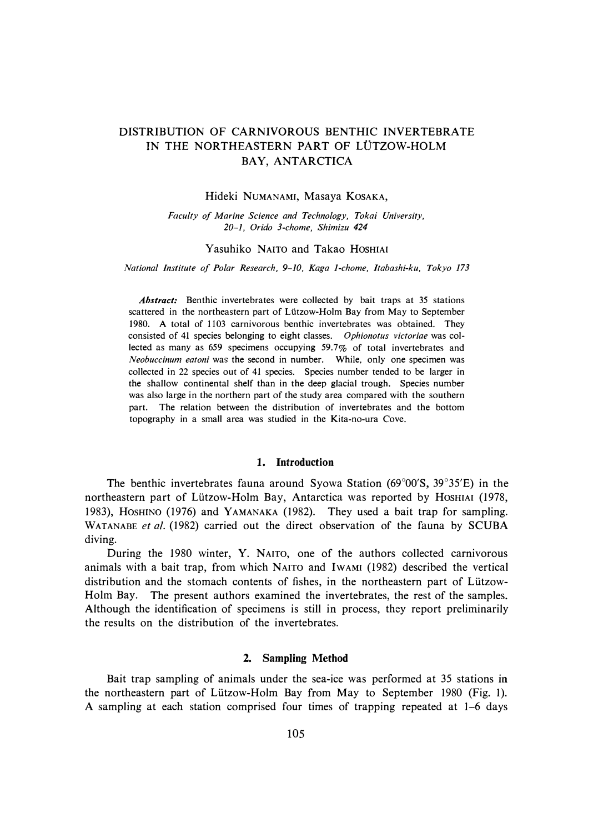# DISTRIBUTION OF CARNIVOROUS BENTHIC INVERTEBRATE IN THE NORTHEASTERN PART OF LÜTZOW-HOLM BAY, ANTARCTICA

#### Hideki NUMANAMI, Masaya KOSAKA,

*Faculty of Marine Science and Technology, Tokai University, 20-1, Orido 3-chome, Shimizu 424* 

### Yasuhiko NAITO and Takao HOSHIAI

*National Institute of Polar Research, 9-10, Kaga 1-chome, Jtabashi-ku, Tokyo 173* 

*Abstract:* Benthic invertebrates were collected by bait traps at 35 stations scattered in the northeastern part of Lützow-Holm Bay from May to September 1980. A total of 1103 carnivorous benthic invertebrates was obtained. They consisted of 41 species belonging to eight classes. *Ophionotus victoriae* was collected as many as 659 specimens occupying 59.7% of total invertebrates and *Neobuccinum eatoni* was the second in number. While, only one specimen was collected in 22 species out of 41 species. Species number tended to be larger in the shallow continental shelf than in the deep glacial trough. Species number was also large in the northern part of the study area compared with the southern part. The relation between the distribution of invertebrates and the bottom topography in a small area was studied in the Kita-no-ura Cove.

#### **1. Introduction**

The benthic invertebrates fauna around Syowa Station (69° 00'S, 39° 35'E) in the northeastern part of Lützow-Holm Bay, Antarctica was reported by HOSHIAI (1978, 1983), HOSHINO (1976) and YAMANAKA (1982). They used a bait trap for sampling. WATANABE *et al.* (1982) carried out the direct observation of the fauna by SCUBA diving.

During the 1980 winter, Y. NAITO, one of the authors collected carnivorous animals with a bait trap, from which NAITO and IWAMI (1982) described the vertical distribution and the stomach contents of fishes, in the northeastern part of Liitzow-Holm Bay. The present authors examined the invertebrates, the rest of the samples. Although the identification of specimens is still in process, they report preliminarily the results on the distribution of the invertebrates.

### **2. Sampling Method**

Bait trap sampling of animals under the sea-ice was performed at 35 stations **in**  the northeastern part of Liitzow-Holm Bay from May to September 1980 (Fig. 1). A sampling at each station comprised four times of trapping repeated at 1-6 days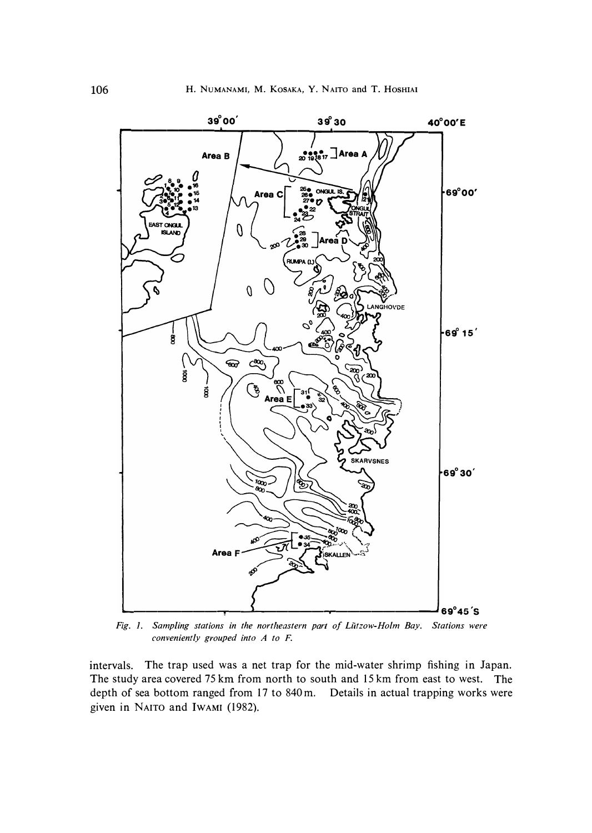

*Fig. I. Sampling stations in the northeastern part of Liitzow-Holm Bay. Stations were conveniently grouped into A to F.* 

intervals. The trap used was a net trap for the mid-water shrimp fishing in Japan. The study area covered 75 km from north to south and 15 km from east to west. The depth of sea bottom ranged from 17 to 840 m. Details in actual trapping works were given in **NAITO** and **IWAMI** (1982).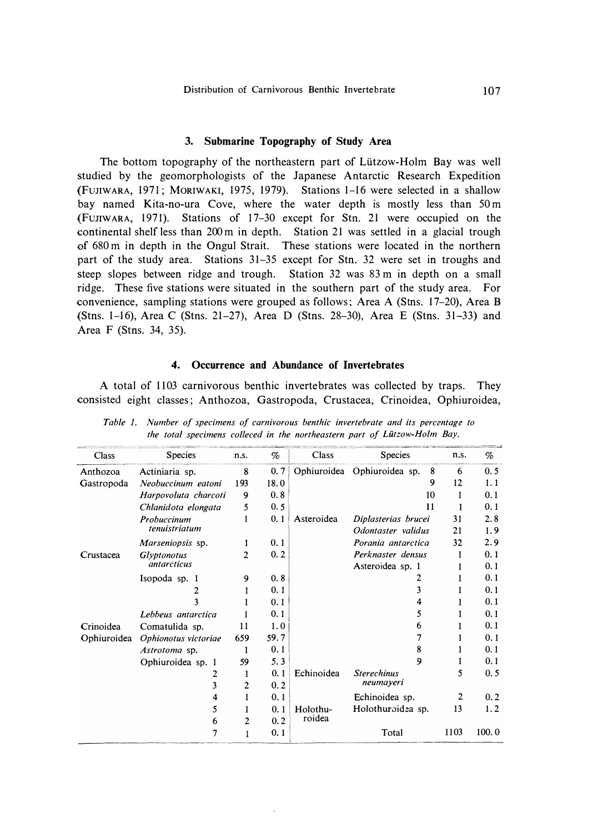#### **3. Submarine Topography of Study Area**

The bottom topography of the northeastern part of Lützow-Holm Bay was well studied by the geomorphologists of the Japanese Antarctic Research Expedition **(FUJIWARA,** 1971; **MORIWAKI,** 1975, 1979). Stations 1-16 were selected in a shallow bay named Kita-no-ura Cove, where the water depth is mostly less than 50 m (FUJIWARA, 1971). Stations of 17-30 except for Stn. 21 were occupied on the continental shelf less than 200 m in depth. Station 21 was settled in a glacial trough of 680 m in depth in the Ongul Strait. These stations were located in the northern part of the study area. Stations 31-35 except for Stn. 32 were set in troughs and steep slopes between ridge and trough. Station 32 was 83 m in depth on a small ridge. These five stations were situated in the southern part of the study area. For convenience, sampling stations were grouped as follows; Area A (Stns. 17-20), Area B (Stns. 1-16), Area C (Stns. 21-27), Area D (Stns. 28-30), Area E (Stns. 31-33) and Area F (Stns. 34, 35).

#### **4. Occurrence and Abundance of Invertebrates**

A total of 1103 carnivorous benthic invertebrates was collected by traps. They consisted eight classes; Anthozoa, Gastropoda, Crustacea, Crinoidea, Ophiuroidea,

| Class       | <b>Species</b>               | n.s. | %    | Class      | <b>Species</b>                   | n.s. | %     |
|-------------|------------------------------|------|------|------------|----------------------------------|------|-------|
| Anthozoa    | Actiniaria sp.               | 8    | 0.7  |            | Ophiuroidea Ophiuroidea sp.<br>8 | 6    | 0.5   |
| Gastropoda  | Neobuccinum eatoni           | 193  | 18.0 |            | 9                                | 12   | 1.1   |
|             | Harpovoluta charcoti         | 9    | 0.8  |            | 10                               | 1    | 0.1   |
|             | Chlanidota elongata          | 5    | 0.5  |            | 11                               |      | 0.1   |
|             | Probuccinum<br>tenuistriatum | 1    | 0.1  | Asteroidea | Diplasterias brucei              | 31   | 2.8   |
|             |                              |      |      |            | Odontaster validus               | 21   | 1.9   |
|             | Marseniopsis sp.             |      | 0.1  |            | Porania antarctica               | 32   | 2.9   |
| Crustacea   | <b>Glyptonotus</b>           | 2    | 0.2  |            | Perknaster densus                | 1    | 0.1   |
|             | <i>antarcticus</i>           |      |      |            | Asteroidea sp. 1                 | 1    | 0.1   |
|             | Isopoda sp. 1                | 9    | 0.8  |            | 2                                |      | 0.1   |
|             | 2                            | 1    | 0.1  |            | 3                                | 1    | 0.1   |
|             | 3                            |      | 0.1  |            | 4                                | 1    | 0.1   |
|             | Lebbeus antarctica           |      | 0.1  |            | 5                                | 1    | 0.1   |
| Crinoidea   | Comatulida sp.               | 11   | 1.0  |            | 6                                | 1    | 0.1   |
| Ophiuroidea | Ophionotus victoriae         | 659  | 59.7 |            | 7                                | 1    | 0.1   |
|             | Astrotoma sp.                | 1    | 0.1  |            | 8                                | 1    | 0.1   |
|             | Ophiuroidea sp. 1            | 59   | 5.3  |            | 9                                | 1    | 0.1   |
|             | 2                            | 1    | 0.1  | Echinoidea | <b>Sterechinus</b>               | 5    | 0.5   |
|             | 3                            | 2    | 0.2  |            | neumayeri                        |      |       |
|             | 4                            | 1    | 0.1  |            | Echinoidea sp.                   | 2    | 0.2   |
|             | 5                            | 1    | 0.1  | Holothu-   | Holothuroidea sp.                | 13   | 1.2   |
|             | 6                            | 2    | 0.2  | roidea     |                                  |      |       |
|             | 7                            |      | 0.1  |            | Total                            | 1103 | 100.0 |

*Table 1. Number of specimens of carnivorous benthic invertebrate and its percentage to*  the total specimens colleced in the northeastern part of Lützow-Holm Bay.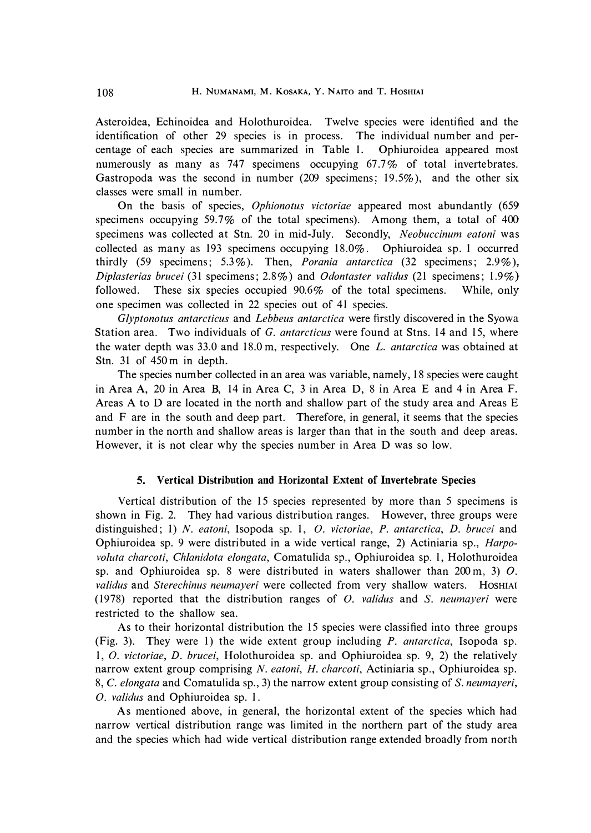Asteroidea, Echinoidea and Holothuroidea. Twelve species were identified and the identification of other 29 species is in process. The individual number and percentage of each species are summarized in Table 1. Ophiuroidea appeared most numerously as many as 747 specimens occupying 67.7% of total invertebrates. Gastropoda was the second in number (209 specimens; 19.5%), and the other six classes were small in number.

On the basis of species, *Ophionotus victoriae* appeared most abundantly (659 specimens occupying 59.7% of the total specimens). Among them, a total of 400 specimens was collected at Stn. 20 in mid-July. Secondly, *Neobuccinum eatoni* was collected as many as 193 specimens occupying 18.0%. Ophiuroidea sp. 1 occurred thirdly (59 specimens; 5.3% ). Then, *Porania antarctica* (32 specimens; 2.9% ), *Diplasterias brucei* (31 specimens; 2.8%) and *Odontaster validus* (21 specimens; 1. 9%) followed. These six species occupied  $90.6\%$  of the total specimens. While, only one specimen was collected in 22 species out of 41 species.

*Glyptonotus antarcticus* and *Lebbeus antarctica* were firstly discovered in the Syowa Station area. Two individuals of G. *antarcticus* were found at Stns. 14 and 15, where the water depth was 33.0 and 18.0 m, respectively. One *L. antarctica* was obtained at Stn. 31 of 450 m in depth.

The species number collected in an area was variable, namely, 18 species were caught in Area A, 20 in Area B, 14 in Area C, 3 in Area D, 8 in Area E and 4 in Area F. Areas A to D are located in the north and shallow part of the study area and Areas E and F are in the south and deep part. Therefore, in general, it seems that the species number in the north and shallow areas is larger than that in the south and deep areas. However, it is not clear why the species number in Area D was so low.

### **5. Vertical Distribution and Horizontal Extent of Invertebrate Species**

Vertical distribution of the 15 species represented by more than 5 specimens is shown in Fig. 2. They had various distribution ranges. However, three groups were distinguished; 1) *N. eatoni,* Isopoda sp. 1, *0. victoriae, P. antarctica, D. brucei* and Ophiuroidea sp. 9 were distributed in a wide vertical range, 2) Actiniaria sp., *Harpovoluta charcoti, Chlanidota elongata,* Comatulida sp., Ophiuroidea sp. 1, Holothuroidea sp. and Ophiuroidea sp. 8 were distributed in waters shallower than 200 m, 3) *0. validus* and *Sterechinus neumayeri* were collected from very shallow waters. HOSHIAI (1978) reported that the distribution ranges of *0. validus* and *S. neumayeri* were restricted to the shallow sea.

As to their horizontal distribution the 15 species were classified into three groups (Fig. 3). They were 1) the wide extent group including *P. antarctica,* Isopoda sp. 1, *0. victoriae, D. brucei,* Holothuroidea sp. and Ophiuroidea sp. 9, 2) the relatively narrow extent group comprising *N. eatoni, H. charcoti,* Actiniaria sp., Ophiuroidea sp. 8, C. *elongata* and Comatulida sp., 3) the narrow extent group consisting of S. *neumayeri*, *0. validus* and Ophiuroidea sp. 1.

As mentioned above, in general, the horizontal extent of the species which had narrow vertical distribution range was limited in the northern part of the study area and the species which had wide vertical distribution range extended broadly from north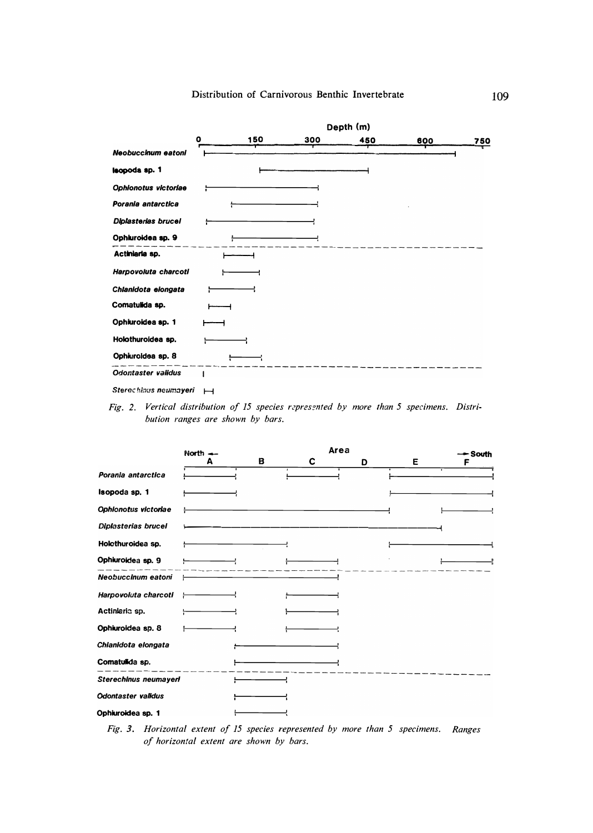## Distribution of Carnivorous Benthic Invertebrate

|                      | Depth (m)   |     |     |     |     |     |  |
|----------------------|-------------|-----|-----|-----|-----|-----|--|
|                      | $\mathbf o$ | 150 | 300 | 450 | 600 | 750 |  |
| Neobuccinum eatoni   |             |     |     |     |     |     |  |
| lsopoda sp. 1        |             |     |     |     |     |     |  |
| Ophionotus victoriae |             |     |     |     |     |     |  |
| Porania antarctica   |             |     |     |     |     |     |  |
| Diplasterias brucel  |             |     |     |     |     |     |  |
| Ophiuroidea sp. 9    |             |     |     |     |     |     |  |
| Actiniaria sp.       |             |     |     |     |     |     |  |
| Harpovoluta charcoti |             |     |     |     |     |     |  |
| Chlanidota elongata  |             |     |     |     |     |     |  |
| Comatulida sp.       |             |     |     |     |     |     |  |
| Ophiuroidea sp. 1    |             |     |     |     |     |     |  |
| Holothuroidea sp.    |             |     |     |     |     |     |  |
| Ophiuroidea sp. 8    |             |     |     |     |     |     |  |
| Odontaster validus   |             |     |     |     |     |     |  |

|                            | North $\leftarrow$ |   | Area |   |   | → South |
|----------------------------|--------------------|---|------|---|---|---------|
|                            | A                  | в | C    | D | Е | F       |
| Porania antarctica         |                    |   |      |   |   |         |
| Isopoda sp. 1              |                    |   |      |   |   |         |
| Ophionotus victoriae       |                    |   |      |   |   |         |
| <b>Diplasterias brucel</b> |                    |   |      |   |   |         |
| Holcthuroidea sp.          |                    |   |      |   |   |         |
| Ophiuroidea sp. 9          |                    |   |      |   |   |         |
| Neobuccinum eatoni         |                    |   |      |   |   |         |
| Harpovoluta charcoti       |                    |   |      |   |   |         |
| Actiniaria sp.             |                    |   |      |   |   |         |
| Ophiuroidea sp. 8          |                    |   |      |   |   |         |
| Chianidota elongata        |                    |   |      |   |   |         |
| Comatulida sp.             |                    |   |      |   |   |         |
| Sterechinus neumayeri      |                    |   |      |   |   |         |
| <b>Odontaster validus</b>  |                    |   |      |   |   |         |
| Ophiuroidea sp. 1          |                    |   |      |   |   |         |

*Fig. 3. Horizontal extent of 15 species represented by more than 5 specimens. Ranges of horizontal extent are shown by bars.* 

*Sterec hlnus neumayeri H* 

Fig. 2. Vertical distribution of 15 species represented by more than 5 specimens. Distri*bution ranges are shown by bars.*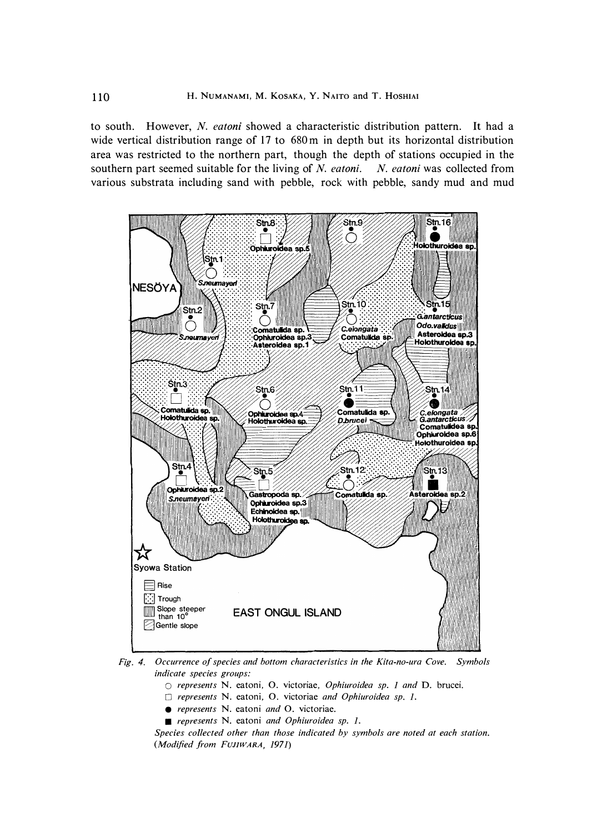to south. However, *N. eatoni* showed a characteristic distribution pattern. It had a wide vertical distribution range of 17 to 680 m in depth but its horizontal distribution area was restricted to the northern part, though the depth of stations occupied in the southern part seemed suitable for the living of *N. eatoni. N. eatoni* was collected from various substrata including sand with pebble, rock with pebble, sandy mud and mud



*Fig. 4. Occurrence of species and bottom characteristics in the Kita-no-ura Cove. Symbols indicate species groups:* 

- *0 represents N. eatoni, 0. victoriae, Ophiuroidea sp. 1 and D. brucei.*
- *D represents N. eatoni, 0. victoriae and Ophiuroidea sp. 1.*
- *represents N. eatoni and 0. victoriae.*
- *represents N. eatoni and Ophiuroidea sp. 1.*

*Species collected other than those indicated by symbols are noted at each station. (Modified from FUJIWARA, 1971)*